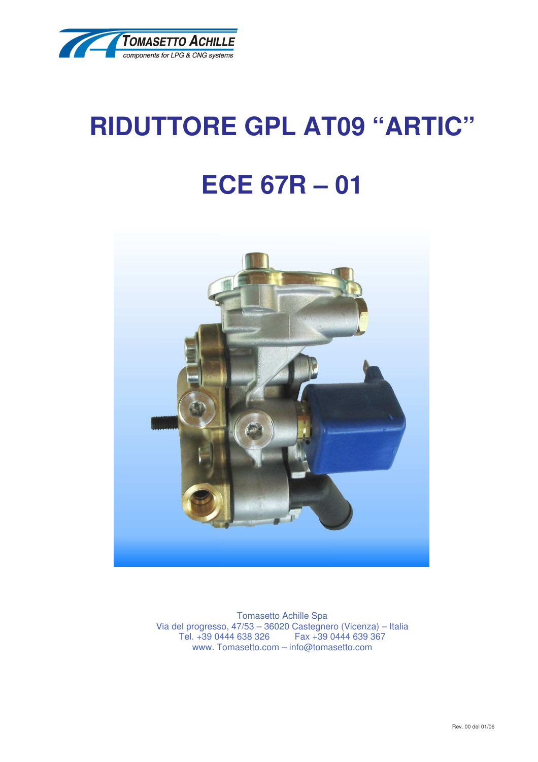

## **RIDUTTORE GPL AT09 "ARTIC" ECE 67R – 01**



Tomasetto Achille Spa Via del progresso, 47/53 – 36020 Castegnero (Vicenza) – Italia Tel. +39 0444 638 326 www. Tomasetto.com – info@tomasetto.com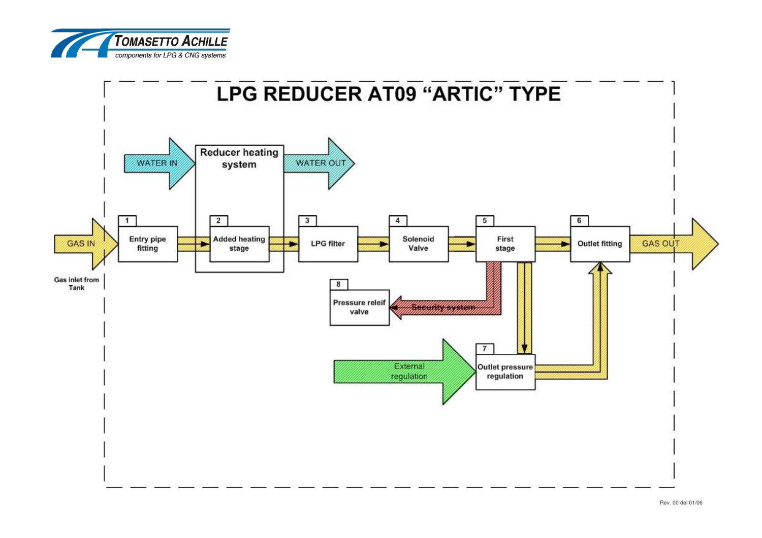

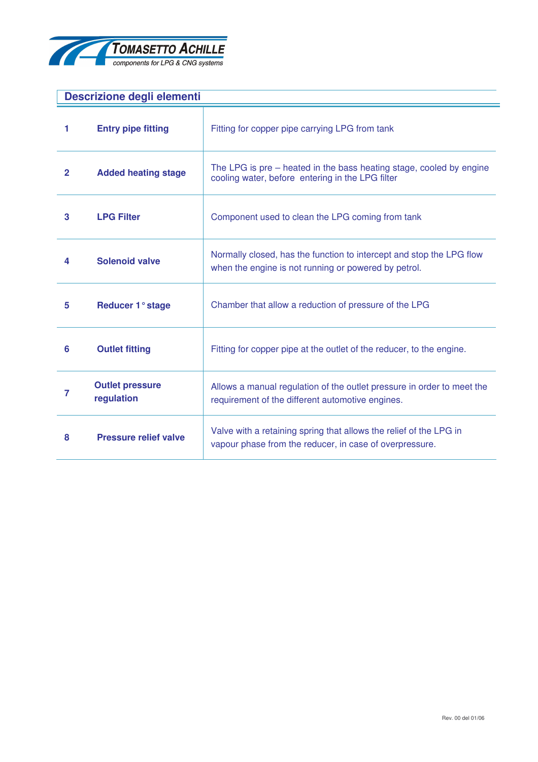

| Descrizione degli elementi |                                      |                                                                                                                               |  |
|----------------------------|--------------------------------------|-------------------------------------------------------------------------------------------------------------------------------|--|
| 1                          | <b>Entry pipe fitting</b>            | Fitting for copper pipe carrying LPG from tank                                                                                |  |
| $\overline{2}$             | <b>Added heating stage</b>           | The LPG is pre – heated in the bass heating stage, cooled by engine<br>cooling water, before entering in the LPG filter       |  |
| 3                          | <b>LPG Filter</b>                    | Component used to clean the LPG coming from tank                                                                              |  |
| 4                          | <b>Solenoid valve</b>                | Normally closed, has the function to intercept and stop the LPG flow<br>when the engine is not running or powered by petrol.  |  |
| 5                          | Reducer 1° stage                     | Chamber that allow a reduction of pressure of the LPG                                                                         |  |
| 6                          | <b>Outlet fitting</b>                | Fitting for copper pipe at the outlet of the reducer, to the engine.                                                          |  |
| 7                          | <b>Outlet pressure</b><br>regulation | Allows a manual regulation of the outlet pressure in order to meet the<br>requirement of the different automotive engines.    |  |
| 8                          | <b>Pressure relief valve</b>         | Valve with a retaining spring that allows the relief of the LPG in<br>vapour phase from the reducer, in case of overpressure. |  |